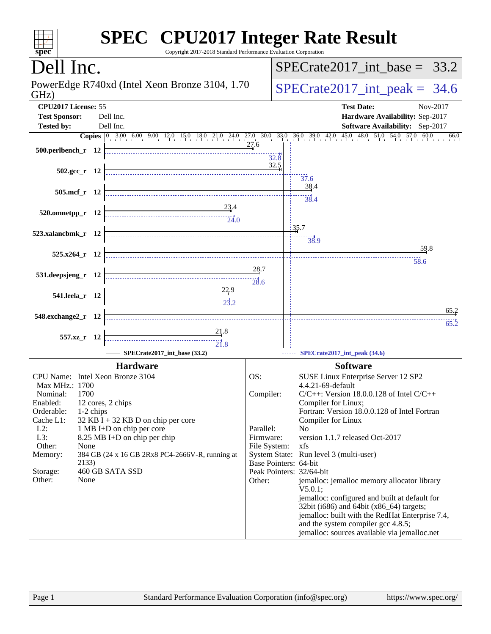| Dell Inc.                                                                                                                                                                                                                                                                                                                                                                                                                                                                                                                                                                                |                           | $SPECTate2017$ int base = 33.2                                                            |
|------------------------------------------------------------------------------------------------------------------------------------------------------------------------------------------------------------------------------------------------------------------------------------------------------------------------------------------------------------------------------------------------------------------------------------------------------------------------------------------------------------------------------------------------------------------------------------------|---------------------------|-------------------------------------------------------------------------------------------|
| PowerEdge R740xd (Intel Xeon Bronze 3104, 1.70)                                                                                                                                                                                                                                                                                                                                                                                                                                                                                                                                          |                           |                                                                                           |
| GHz)                                                                                                                                                                                                                                                                                                                                                                                                                                                                                                                                                                                     |                           | $SPECTate2017\_int\_peak = 34.6$                                                          |
| CPU2017 License: 55<br><b>Test Sponsor:</b><br>Dell Inc.                                                                                                                                                                                                                                                                                                                                                                                                                                                                                                                                 |                           | <b>Test Date:</b><br>Nov-2017<br>Hardware Availability: Sep-2017                          |
| <b>Tested by:</b><br>Dell Inc.                                                                                                                                                                                                                                                                                                                                                                                                                                                                                                                                                           |                           | Software Availability: Sep-2017                                                           |
| <b>Copies</b> $\begin{bmatrix} 0 & 3.00 & 6.00 & 9.00 & 12.0 & 15.0 & 18.0 & 21.0 & 24.0 & 27.0 & 30.0 & 33.0 & 36.0 & 39.0 & 42.0 & 45.0 & 48.0 & 51.0 & 54.0 & 57.0 & 60.0 \end{bmatrix}$                                                                                                                                                                                                                                                                                                                                                                                              | 27.6                      | 66.0                                                                                      |
| $500.$ perlbench r 12                                                                                                                                                                                                                                                                                                                                                                                                                                                                                                                                                                    |                           | 32.8                                                                                      |
| $502.\text{gcc r}$ 12                                                                                                                                                                                                                                                                                                                                                                                                                                                                                                                                                                    |                           | 32.5                                                                                      |
|                                                                                                                                                                                                                                                                                                                                                                                                                                                                                                                                                                                          |                           | $\frac{1}{37.6}$<br>38.4                                                                  |
| 505.mcf r 12                                                                                                                                                                                                                                                                                                                                                                                                                                                                                                                                                                             |                           | $\frac{1}{38.4}$                                                                          |
| 23.4<br>$520.0$ mnetpp_r 12<br>$\frac{-1}{24.0}$                                                                                                                                                                                                                                                                                                                                                                                                                                                                                                                                         |                           |                                                                                           |
|                                                                                                                                                                                                                                                                                                                                                                                                                                                                                                                                                                                          |                           | 135.7                                                                                     |
| 523.xalancbmk_r 12                                                                                                                                                                                                                                                                                                                                                                                                                                                                                                                                                                       |                           | 38.9                                                                                      |
| $525.x264_r$ 12                                                                                                                                                                                                                                                                                                                                                                                                                                                                                                                                                                          |                           | 59.8<br>58.6                                                                              |
| 531.deepsjeng_r 12                                                                                                                                                                                                                                                                                                                                                                                                                                                                                                                                                                       | 28.7                      |                                                                                           |
|                                                                                                                                                                                                                                                                                                                                                                                                                                                                                                                                                                                          | 28.6                      |                                                                                           |
| 22.9<br>541.leela_r 12<br>$\begin{array}{c c c c} \hline \text{} & \text{} & \text{} \\ \hline \text{} & \text{} & \text{} \\ \hline \text{} & \text{} & \text{} \\ \hline \end{array}$                                                                                                                                                                                                                                                                                                                                                                                                  |                           |                                                                                           |
| 548.exchange2_r 12                                                                                                                                                                                                                                                                                                                                                                                                                                                                                                                                                                       |                           | 65.2                                                                                      |
| 21.8                                                                                                                                                                                                                                                                                                                                                                                                                                                                                                                                                                                     |                           | $65.\overline{2}$                                                                         |
| 557.xz_r 12<br>$\begin{array}{c c c c c c} \hline \hline \multicolumn{3}{c }{\textbf{\textcolor{blue}{\bf \textcolor{blue}{\bf \textcolor{blue}{\bf \textcolor{blue}{\bf \textcolor{blue}{\bf \textcolor{blue}{\bf \textcolor{blue}{\bf \textcolor{blue}{\bf \textcolor{blue}{\bf \textcolor{blue}{\bf \textcolor{blue}{\bf \textcolor{blue}{\bf \textcolor{blue}{\bf \textcolor{blue}{\bf \textcolor{blue}{\bf \textcolor{blue}{\bf \textcolor{blue}{\bf \textcolor{blue}{\bf \textcolor{blue}{\bf \textcolor{blue}{\bf \textcolor{blue}{\bf \textcolor{blue}{\bf \textcolor{blue}{\bf$ |                           |                                                                                           |
| SPECrate2017_int_base (33.2)                                                                                                                                                                                                                                                                                                                                                                                                                                                                                                                                                             |                           | SPECrate2017_int_peak (34.6)                                                              |
| <b>Hardware</b><br>CPU Name: Intel Xeon Bronze 3104                                                                                                                                                                                                                                                                                                                                                                                                                                                                                                                                      | OS:                       | <b>Software</b><br>SUSE Linux Enterprise Server 12 SP2                                    |
| Max MHz.: 1700                                                                                                                                                                                                                                                                                                                                                                                                                                                                                                                                                                           |                           | 4.4.21-69-default                                                                         |
| 1700<br>Nominal:<br>Enabled:<br>12 cores, 2 chips                                                                                                                                                                                                                                                                                                                                                                                                                                                                                                                                        | Compiler:                 | $C/C++$ : Version 18.0.0.128 of Intel $C/C++$<br>Compiler for Linux;                      |
| Orderable:<br>1-2 chips<br>Cache L1:<br>$32$ KB I + 32 KB D on chip per core                                                                                                                                                                                                                                                                                                                                                                                                                                                                                                             |                           | Fortran: Version 18.0.0.128 of Intel Fortran<br>Compiler for Linux                        |
| $L2$ :<br>1 MB I+D on chip per core                                                                                                                                                                                                                                                                                                                                                                                                                                                                                                                                                      | Parallel:                 | N <sub>0</sub>                                                                            |
| L3:<br>8.25 MB I+D on chip per chip<br>Other:<br>None                                                                                                                                                                                                                                                                                                                                                                                                                                                                                                                                    | Firmware:<br>File System: | version 1.1.7 released Oct-2017<br>xfs                                                    |
| 384 GB (24 x 16 GB 2Rx8 PC4-2666V-R, running at<br>Memory:<br>2133)                                                                                                                                                                                                                                                                                                                                                                                                                                                                                                                      |                           | System State: Run level 3 (multi-user)<br>Base Pointers: 64-bit                           |
| 460 GB SATA SSD<br>Storage:                                                                                                                                                                                                                                                                                                                                                                                                                                                                                                                                                              |                           | Peak Pointers: 32/64-bit                                                                  |
| Other:<br>None                                                                                                                                                                                                                                                                                                                                                                                                                                                                                                                                                                           | Other:                    | jemalloc: jemalloc memory allocator library<br>$V5.0.1$ ;                                 |
|                                                                                                                                                                                                                                                                                                                                                                                                                                                                                                                                                                                          |                           | jemalloc: configured and built at default for<br>32bit (i686) and 64bit (x86_64) targets; |
|                                                                                                                                                                                                                                                                                                                                                                                                                                                                                                                                                                                          |                           | jemalloc: built with the RedHat Enterprise 7.4,                                           |
|                                                                                                                                                                                                                                                                                                                                                                                                                                                                                                                                                                                          |                           | and the system compiler gcc 4.8.5;<br>jemalloc: sources available via jemalloc.net        |
|                                                                                                                                                                                                                                                                                                                                                                                                                                                                                                                                                                                          |                           |                                                                                           |
|                                                                                                                                                                                                                                                                                                                                                                                                                                                                                                                                                                                          |                           |                                                                                           |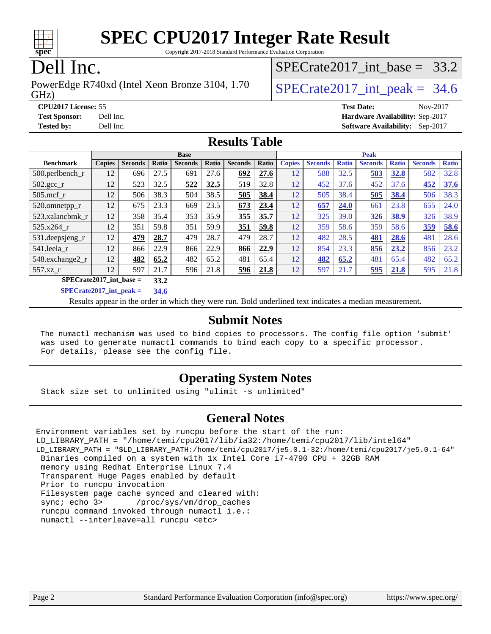

Copyright 2017-2018 Standard Performance Evaluation Corporation

### Dell Inc.

GHz) PowerEdge R740xd (Intel Xeon Bronze 3104, 1.70 SPECrate 2017 int peak = 34.6

SPECrate2017 int\_base =  $33.2$ 

**[CPU2017 License:](http://www.spec.org/auto/cpu2017/Docs/result-fields.html#CPU2017License)** 55 **[Test Date:](http://www.spec.org/auto/cpu2017/Docs/result-fields.html#TestDate)** Nov-2017 **[Test Sponsor:](http://www.spec.org/auto/cpu2017/Docs/result-fields.html#TestSponsor)** Dell Inc. **[Hardware Availability:](http://www.spec.org/auto/cpu2017/Docs/result-fields.html#HardwareAvailability)** Sep-2017 **[Tested by:](http://www.spec.org/auto/cpu2017/Docs/result-fields.html#Testedby)** Dell Inc. **[Software Availability:](http://www.spec.org/auto/cpu2017/Docs/result-fields.html#SoftwareAvailability)** Sep-2017

#### **[Results Table](http://www.spec.org/auto/cpu2017/Docs/result-fields.html#ResultsTable)**

|                                                 |               |                |       | <b>Base</b>    |       |                |       |               |                |              | <b>Peak</b>    |              |                |              |
|-------------------------------------------------|---------------|----------------|-------|----------------|-------|----------------|-------|---------------|----------------|--------------|----------------|--------------|----------------|--------------|
| <b>Benchmark</b>                                | <b>Copies</b> | <b>Seconds</b> | Ratio | <b>Seconds</b> | Ratio | <b>Seconds</b> | Ratio | <b>Copies</b> | <b>Seconds</b> | <b>Ratio</b> | <b>Seconds</b> | <b>Ratio</b> | <b>Seconds</b> | <b>Ratio</b> |
| 500.perlbench_r                                 | 12            | 696            | 27.5  | 691            | 27.6  | 692            | 27.6  | 12            | 588            | 32.5         | 583            | 32.8         | 582            | 32.8         |
| $502.\text{gcc}$ _r                             | 12            | 523            | 32.5  | 522            | 32.5  | 519            | 32.8  | 12            | 452            | 37.6         | 452            | 37.6         | 452            | 37.6         |
| $505$ .mcf r                                    | 12            | 506            | 38.3  | 504            | 38.5  | 505            | 38.4  | 12            | 505            | 38.4         | 505            | 38.4         | 506            | 38.3         |
| 520.omnetpp_r                                   | 12            | 675            | 23.3  | 669            | 23.5  | 673            | 23.4  | 12            | 657            | 24.0         | 661            | 23.8         | 655            | 24.0         |
| 523.xalancbmk r                                 | 12            | 358            | 35.4  | 353            | 35.9  | 355            | 35.7  | 12            | 325            | 39.0         | 326            | 38.9         | 326            | 38.9         |
| 525.x264 r                                      | 12            | 351            | 59.8  | 351            | 59.9  | 351            | 59.8  | 12            | 359            | 58.6         | 359            | 58.6         | 359            | 58.6         |
| $531.$ deepsjeng $_r$                           | 12            | 479            | 28.7  | 479            | 28.7  | 479            | 28.7  | 12            | 482            | 28.5         | 481            | 28.6         | 481            | 28.6         |
| 541.leela r                                     | 12            | 866            | 22.9  | 866            | 22.9  | 866            | 22.9  | 12            | 854            | 23.3         | 856            | 23.2         | 856            | 23.2         |
| 548.exchange2_r                                 | 12            | 482            | 65.2  | 482            | 65.2  | 481            | 65.4  | 12            | 482            | 65.2         | 481            | 65.4         | 482            | 65.2         |
| 557.xz r                                        | 12            | 597            | 21.7  | 596            | 21.8  | 596            | 21.8  | 12            | 597            | 21.7         | 595            | 21.8         | 595            | 21.8         |
| $SPECrate2017$ int base =                       |               |                | 33.2  |                |       |                |       |               |                |              |                |              |                |              |
| $CDFC_{\text{tot}}t_0$ 1017 $\omega t$ nook $=$ |               |                | 21    |                |       |                |       |               |                |              |                |              |                |              |

**[SPECrate2017\\_int\\_peak =](http://www.spec.org/auto/cpu2017/Docs/result-fields.html#SPECrate2017intpeak) 34.6**

Results appear in the [order in which they were run](http://www.spec.org/auto/cpu2017/Docs/result-fields.html#RunOrder). Bold underlined text [indicates a median measurement](http://www.spec.org/auto/cpu2017/Docs/result-fields.html#Median).

#### **[Submit Notes](http://www.spec.org/auto/cpu2017/Docs/result-fields.html#SubmitNotes)**

 The numactl mechanism was used to bind copies to processors. The config file option 'submit' was used to generate numactl commands to bind each copy to a specific processor. For details, please see the config file.

### **[Operating System Notes](http://www.spec.org/auto/cpu2017/Docs/result-fields.html#OperatingSystemNotes)**

Stack size set to unlimited using "ulimit -s unlimited"

### **[General Notes](http://www.spec.org/auto/cpu2017/Docs/result-fields.html#GeneralNotes)**

Environment variables set by runcpu before the start of the run: LD\_LIBRARY\_PATH = "/home/temi/cpu2017/lib/ia32:/home/temi/cpu2017/lib/intel64" LD\_LIBRARY\_PATH = "\$LD\_LIBRARY\_PATH:/home/temi/cpu2017/je5.0.1-32:/home/temi/cpu2017/je5.0.1-64" Binaries compiled on a system with 1x Intel Core i7-4790 CPU + 32GB RAM memory using Redhat Enterprise Linux 7.4 Transparent Huge Pages enabled by default Prior to runcpu invocation Filesystem page cache synced and cleared with: sync; echo 3> /proc/sys/vm/drop\_caches runcpu command invoked through numactl i.e.: numactl --interleave=all runcpu <etc>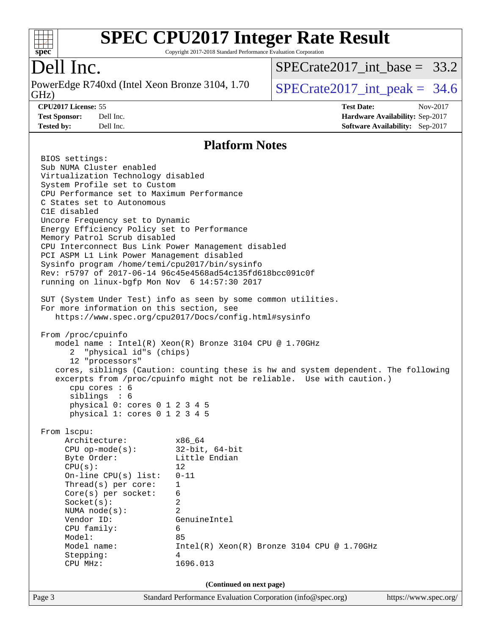

Copyright 2017-2018 Standard Performance Evaluation Corporation

### Dell Inc.

GHz) PowerEdge R740xd (Intel Xeon Bronze 3104, 1.70 SPECrate 2017 int peak = 34.6

[SPECrate2017\\_int\\_base =](http://www.spec.org/auto/cpu2017/Docs/result-fields.html#SPECrate2017intbase) 33.2

**[CPU2017 License:](http://www.spec.org/auto/cpu2017/Docs/result-fields.html#CPU2017License)** 55 **[Test Date:](http://www.spec.org/auto/cpu2017/Docs/result-fields.html#TestDate)** Nov-2017 **[Test Sponsor:](http://www.spec.org/auto/cpu2017/Docs/result-fields.html#TestSponsor)** Dell Inc. **[Hardware Availability:](http://www.spec.org/auto/cpu2017/Docs/result-fields.html#HardwareAvailability)** Sep-2017 **[Tested by:](http://www.spec.org/auto/cpu2017/Docs/result-fields.html#Testedby)** Dell Inc. **[Software Availability:](http://www.spec.org/auto/cpu2017/Docs/result-fields.html#SoftwareAvailability)** Sep-2017

#### **[Platform Notes](http://www.spec.org/auto/cpu2017/Docs/result-fields.html#PlatformNotes)**

Page 3 Standard Performance Evaluation Corporation [\(info@spec.org\)](mailto:info@spec.org) <https://www.spec.org/> BIOS settings: Sub NUMA Cluster enabled Virtualization Technology disabled System Profile set to Custom CPU Performance set to Maximum Performance C States set to Autonomous C1E disabled Uncore Frequency set to Dynamic Energy Efficiency Policy set to Performance Memory Patrol Scrub disabled CPU Interconnect Bus Link Power Management disabled PCI ASPM L1 Link Power Management disabled Sysinfo program /home/temi/cpu2017/bin/sysinfo Rev: r5797 of 2017-06-14 96c45e4568ad54c135fd618bcc091c0f running on linux-bgfp Mon Nov 6 14:57:30 2017 SUT (System Under Test) info as seen by some common utilities. For more information on this section, see <https://www.spec.org/cpu2017/Docs/config.html#sysinfo> From /proc/cpuinfo model name : Intel(R) Xeon(R) Bronze 3104 CPU @ 1.70GHz 2 "physical id"s (chips) 12 "processors" cores, siblings (Caution: counting these is hw and system dependent. The following excerpts from /proc/cpuinfo might not be reliable. Use with caution.) cpu cores : 6 siblings : 6 physical 0: cores 0 1 2 3 4 5 physical 1: cores 0 1 2 3 4 5 From lscpu: Architecture: x86\_64 CPU op-mode(s): 32-bit, 64-bit Byte Order: Little Endian  $CPU(s):$  12 On-line CPU(s) list: 0-11 Thread(s) per core: 1 Core(s) per socket: 6 Socket(s): 2 NUMA node(s): 2 Vendor ID: GenuineIntel CPU family: 6 Model: 85 Model name:  $Intel(R)$  Xeon(R) Bronze 3104 CPU @ 1.70GHz Stepping: 4 CPU MHz: 1696.013 **(Continued on next page)**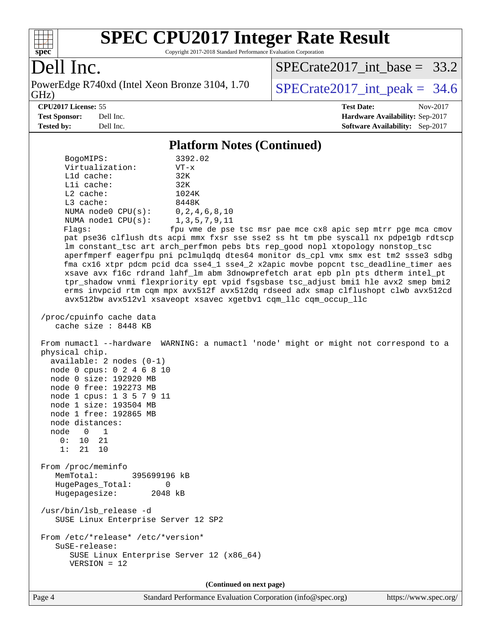

Copyright 2017-2018 Standard Performance Evaluation Corporation

### Dell Inc.

PowerEdge R740xd (Intel Xeon Bronze 3104, 1.70<br>GHz)

[SPECrate2017\\_int\\_base =](http://www.spec.org/auto/cpu2017/Docs/result-fields.html#SPECrate2017intbase) 33.2

 $SPECTate 2017\_int\_peak = 34.6$ **[CPU2017 License:](http://www.spec.org/auto/cpu2017/Docs/result-fields.html#CPU2017License)** 55 **[Test Date:](http://www.spec.org/auto/cpu2017/Docs/result-fields.html#TestDate)** Nov-2017

**[Test Sponsor:](http://www.spec.org/auto/cpu2017/Docs/result-fields.html#TestSponsor)** Dell Inc. **[Hardware Availability:](http://www.spec.org/auto/cpu2017/Docs/result-fields.html#HardwareAvailability)** Sep-2017 **[Tested by:](http://www.spec.org/auto/cpu2017/Docs/result-fields.html#Testedby)** Dell Inc. **[Software Availability:](http://www.spec.org/auto/cpu2017/Docs/result-fields.html#SoftwareAvailability)** Sep-2017

#### **[Platform Notes \(Continued\)](http://www.spec.org/auto/cpu2017/Docs/result-fields.html#PlatformNotes)**

| BogoMIPS:<br>Virtualization:<br>L1d cache:<br>Lli cache:<br>$L2$ cache:<br>L3 cache:<br>NUMA $node0$ $CPU(s):$<br>NUMA $node1$ $CPU(s)$ :<br>Flags:                                                                                                                                                | 3392.02<br>$VT - x$<br>32K<br>32K<br>1024K<br>8448K<br>0, 2, 4, 6, 8, 10<br>1, 3, 5, 7, 9, 11<br>fpu vme de pse tsc msr pae mce cx8 apic sep mtrr pge mca cmov<br>pat pse36 clflush dts acpi mmx fxsr sse sse2 ss ht tm pbe syscall nx pdpelgb rdtscp<br>lm constant_tsc art arch_perfmon pebs bts rep_good nopl xtopology nonstop_tsc<br>aperfmperf eagerfpu pni pclmulqdq dtes64 monitor ds_cpl vmx smx est tm2 ssse3 sdbg<br>fma cx16 xtpr pdcm pcid dca sse4_1 sse4_2 x2apic movbe popcnt tsc_deadline_timer aes<br>xsave avx f16c rdrand lahf_lm abm 3dnowprefetch arat epb pln pts dtherm intel_pt<br>tpr_shadow vnmi flexpriority ept vpid fsgsbase tsc_adjust bmil hle avx2 smep bmi2<br>erms invpcid rtm cqm mpx avx512f avx512dq rdseed adx smap clflushopt clwb avx512cd<br>avx512bw avx512vl xsaveopt xsavec xgetbvl cqm_llc cqm_occup_llc |
|----------------------------------------------------------------------------------------------------------------------------------------------------------------------------------------------------------------------------------------------------------------------------------------------------|--------------------------------------------------------------------------------------------------------------------------------------------------------------------------------------------------------------------------------------------------------------------------------------------------------------------------------------------------------------------------------------------------------------------------------------------------------------------------------------------------------------------------------------------------------------------------------------------------------------------------------------------------------------------------------------------------------------------------------------------------------------------------------------------------------------------------------------------------------|
| /proc/cpuinfo cache data<br>cache size : 8448 KB                                                                                                                                                                                                                                                   |                                                                                                                                                                                                                                                                                                                                                                                                                                                                                                                                                                                                                                                                                                                                                                                                                                                        |
| physical chip.<br>$available: 2 nodes (0-1)$<br>node 0 cpus: 0 2 4 6 8 10<br>node 0 size: 192920 MB<br>node 0 free: 192273 MB<br>node 1 cpus: 1 3 5 7 9 11<br>node 1 size: 193504 MB<br>node 1 free: 192865 MB<br>node distances:<br>node 0<br>$\overline{\phantom{1}}$<br>0: 10 21<br>1:<br>21 10 | From numactl --hardware WARNING: a numactl 'node' might or might not correspond to a                                                                                                                                                                                                                                                                                                                                                                                                                                                                                                                                                                                                                                                                                                                                                                   |
| From /proc/meminfo<br>MemTotal:<br>395699196 kB<br>HugePages_Total:<br>0<br>Hugepagesize: 2048 kB                                                                                                                                                                                                  |                                                                                                                                                                                                                                                                                                                                                                                                                                                                                                                                                                                                                                                                                                                                                                                                                                                        |
| /usr/bin/lsb_release -d<br>SUSE Linux Enterprise Server 12 SP2                                                                                                                                                                                                                                     |                                                                                                                                                                                                                                                                                                                                                                                                                                                                                                                                                                                                                                                                                                                                                                                                                                                        |
| From /etc/*release* /etc/*version*<br>SuSE-release:<br>SUSE Linux Enterprise Server 12 (x86_64)<br>VERSION = 12                                                                                                                                                                                    |                                                                                                                                                                                                                                                                                                                                                                                                                                                                                                                                                                                                                                                                                                                                                                                                                                                        |
|                                                                                                                                                                                                                                                                                                    | (Continued on next page)                                                                                                                                                                                                                                                                                                                                                                                                                                                                                                                                                                                                                                                                                                                                                                                                                               |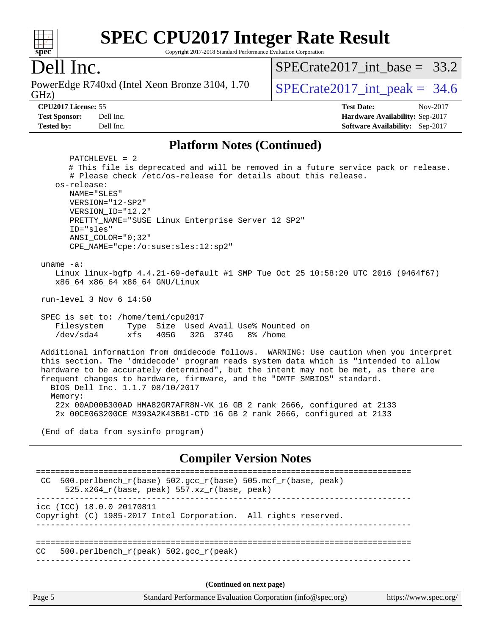#### $\pm$   $\mu$ **[spec](http://www.spec.org/)**

# **[SPEC CPU2017 Integer Rate Result](http://www.spec.org/auto/cpu2017/Docs/result-fields.html#SPECCPU2017IntegerRateResult)**

Copyright 2017-2018 Standard Performance Evaluation Corporation

## Dell Inc.

GHz) PowerEdge R740xd (Intel Xeon Bronze 3104, 1.70 SPECrate 2017 int peak = 34.6

SPECrate2017 int\_base =  $33.2$ 

**[Tested by:](http://www.spec.org/auto/cpu2017/Docs/result-fields.html#Testedby)** Dell Inc. **[Software Availability:](http://www.spec.org/auto/cpu2017/Docs/result-fields.html#SoftwareAvailability)** Sep-2017

**[CPU2017 License:](http://www.spec.org/auto/cpu2017/Docs/result-fields.html#CPU2017License)** 55 **[Test Date:](http://www.spec.org/auto/cpu2017/Docs/result-fields.html#TestDate)** Nov-2017 **[Test Sponsor:](http://www.spec.org/auto/cpu2017/Docs/result-fields.html#TestSponsor)** Dell Inc. **[Hardware Availability:](http://www.spec.org/auto/cpu2017/Docs/result-fields.html#HardwareAvailability)** Sep-2017

#### **[Platform Notes \(Continued\)](http://www.spec.org/auto/cpu2017/Docs/result-fields.html#PlatformNotes)**

Page 5 Standard Performance Evaluation Corporation [\(info@spec.org\)](mailto:info@spec.org) <https://www.spec.org/> PATCHLEVEL = 2 # This file is deprecated and will be removed in a future service pack or release. # Please check /etc/os-release for details about this release. os-release: NAME="SLES" VERSION="12-SP2" VERSION\_ID="12.2" PRETTY\_NAME="SUSE Linux Enterprise Server 12 SP2" ID="sles" ANSI\_COLOR="0;32" CPE\_NAME="cpe:/o:suse:sles:12:sp2" uname -a: Linux linux-bgfp 4.4.21-69-default #1 SMP Tue Oct 25 10:58:20 UTC 2016 (9464f67) x86\_64 x86\_64 x86\_64 GNU/Linux run-level 3 Nov 6 14:50 SPEC is set to: /home/temi/cpu2017 Filesystem Type Size Used Avail Use% Mounted on /dev/sda4 xfs 405G 32G 374G 8% /home Additional information from dmidecode follows. WARNING: Use caution when you interpret this section. The 'dmidecode' program reads system data which is "intended to allow hardware to be accurately determined", but the intent may not be met, as there are frequent changes to hardware, firmware, and the "DMTF SMBIOS" standard. BIOS Dell Inc. 1.1.7 08/10/2017 Memory: 22x 00AD00B300AD HMA82GR7AFR8N-VK 16 GB 2 rank 2666, configured at 2133 2x 00CE063200CE M393A2K43BB1-CTD 16 GB 2 rank 2666, configured at 2133 (End of data from sysinfo program) **[Compiler Version Notes](http://www.spec.org/auto/cpu2017/Docs/result-fields.html#CompilerVersionNotes)** ============================================================================== CC 500.perlbench  $r(base)$  502.gcc  $r(base)$  505.mcf  $r(base, peak)$  $525.x264_r(base, peak)$  557.xz $r(base, peak)$ ----------------------------------------------------------------------------- icc (ICC) 18.0.0 20170811 Copyright (C) 1985-2017 Intel Corporation. All rights reserved. ------------------------------------------------------------------------------ ============================================================================== CC 500.perlbench\_r(peak) 502.gcc\_r(peak) ------------------------------------------------------------------------------ **(Continued on next page)**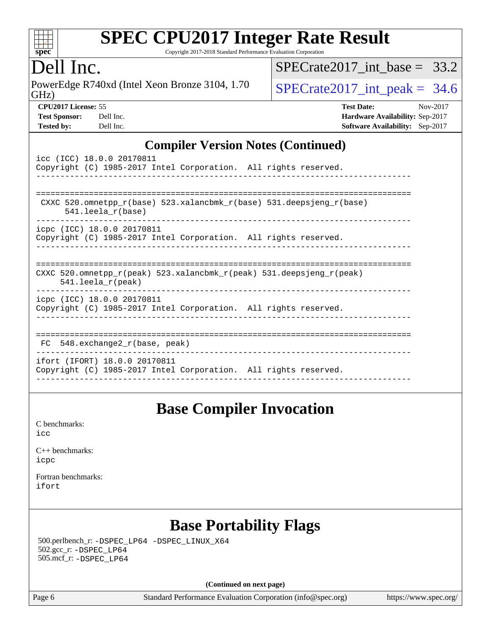

Copyright 2017-2018 Standard Performance Evaluation Corporation

### Dell Inc.

GHz) PowerEdge R740xd (Intel Xeon Bronze 3104, 1.70  $SPECTate 2017\_int\_peak = 34.6$ 

SPECrate2017 int\_base =  $33.2$ 

| <b>Test Sponsor:</b> | Dell Inc |
|----------------------|----------|
| <b>Tested by:</b>    | Dell Inc |

**[CPU2017 License:](http://www.spec.org/auto/cpu2017/Docs/result-fields.html#CPU2017License)** 55 **[Test Date:](http://www.spec.org/auto/cpu2017/Docs/result-fields.html#TestDate)** Nov-2017 **[Test Sponsor:](http://www.spec.org/auto/cpu2017/Docs/result-fields.html#TestSponsor)** Deliver Sponsor: **[Hardware Availability:](http://www.spec.org/auto/cpu2017/Docs/result-fields.html#HardwareAvailability)** Sep-2017 **[Tested by:](http://www.spec.org/auto/cpu2017/Docs/result-fields.html#Testedby)** Deliver and **[Software Availability:](http://www.spec.org/auto/cpu2017/Docs/result-fields.html#SoftwareAvailability)** Sep-2017

#### **[Compiler Version Notes \(Continued\)](http://www.spec.org/auto/cpu2017/Docs/result-fields.html#CompilerVersionNotes)**

| icc (ICC) 18.0.0 20170811<br>Copyright (C) 1985-2017 Intel Corporation. All rights reserved.                            |
|-------------------------------------------------------------------------------------------------------------------------|
| CXXC 520.omnetpp $r(base)$ 523.xalancbmk $r(base)$ 531.deepsjeng $r(base)$<br>$541.$ leela $r(base)$                    |
| icpc (ICC) 18.0.0 20170811<br>Copyright (C) 1985-2017 Intel Corporation. All rights reserved.                           |
| CXXC 520.omnetpp $r(\text{peak})$ 523.xalancbmk $r(\text{peak})$ 531.deepsjeng $r(\text{peak})$<br>$541.$ leela r(peak) |
| icpc (ICC) 18.0.0 20170811<br>Copyright (C) 1985-2017 Intel Corporation. All rights reserved.                           |
| $FC$ 548. exchange2 $r(base, peak)$                                                                                     |
| ifort (IFORT) 18.0.0 20170811<br>Copyright (C) 1985-2017 Intel Corporation. All rights reserved.                        |

### **[Base Compiler Invocation](http://www.spec.org/auto/cpu2017/Docs/result-fields.html#BaseCompilerInvocation)**

[C benchmarks](http://www.spec.org/auto/cpu2017/Docs/result-fields.html#Cbenchmarks): [icc](http://www.spec.org/cpu2017/results/res2017q4/cpu2017-20171208-01401.flags.html#user_CCbase_intel_icc_18.0_66fc1ee009f7361af1fbd72ca7dcefbb700085f36577c54f309893dd4ec40d12360134090235512931783d35fd58c0460139e722d5067c5574d8eaf2b3e37e92)

[C++ benchmarks:](http://www.spec.org/auto/cpu2017/Docs/result-fields.html#CXXbenchmarks) [icpc](http://www.spec.org/cpu2017/results/res2017q4/cpu2017-20171208-01401.flags.html#user_CXXbase_intel_icpc_18.0_c510b6838c7f56d33e37e94d029a35b4a7bccf4766a728ee175e80a419847e808290a9b78be685c44ab727ea267ec2f070ec5dc83b407c0218cded6866a35d07)

[Fortran benchmarks](http://www.spec.org/auto/cpu2017/Docs/result-fields.html#Fortranbenchmarks): [ifort](http://www.spec.org/cpu2017/results/res2017q4/cpu2017-20171208-01401.flags.html#user_FCbase_intel_ifort_18.0_8111460550e3ca792625aed983ce982f94888b8b503583aa7ba2b8303487b4d8a21a13e7191a45c5fd58ff318f48f9492884d4413fa793fd88dd292cad7027ca)

### **[Base Portability Flags](http://www.spec.org/auto/cpu2017/Docs/result-fields.html#BasePortabilityFlags)**

 500.perlbench\_r: [-DSPEC\\_LP64](http://www.spec.org/cpu2017/results/res2017q4/cpu2017-20171208-01401.flags.html#b500.perlbench_r_basePORTABILITY_DSPEC_LP64) [-DSPEC\\_LINUX\\_X64](http://www.spec.org/cpu2017/results/res2017q4/cpu2017-20171208-01401.flags.html#b500.perlbench_r_baseCPORTABILITY_DSPEC_LINUX_X64) 502.gcc\_r: [-DSPEC\\_LP64](http://www.spec.org/cpu2017/results/res2017q4/cpu2017-20171208-01401.flags.html#suite_basePORTABILITY502_gcc_r_DSPEC_LP64) 505.mcf\_r: [-DSPEC\\_LP64](http://www.spec.org/cpu2017/results/res2017q4/cpu2017-20171208-01401.flags.html#suite_basePORTABILITY505_mcf_r_DSPEC_LP64)

**(Continued on next page)**

Page 6 Standard Performance Evaluation Corporation [\(info@spec.org\)](mailto:info@spec.org) <https://www.spec.org/>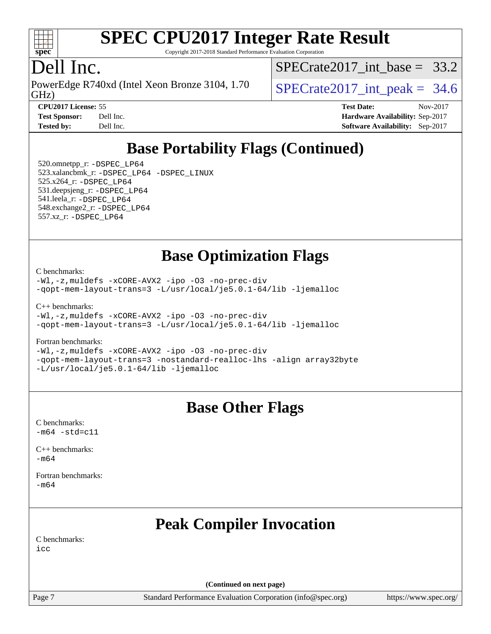

Copyright 2017-2018 Standard Performance Evaluation Corporation

### Dell Inc.

GHz) PowerEdge R740xd (Intel Xeon Bronze 3104, 1.70  $\big|$  SPECrate 2017 int peak = 34.6

SPECrate2017 int\_base =  $33.2$ 

**[CPU2017 License:](http://www.spec.org/auto/cpu2017/Docs/result-fields.html#CPU2017License)** 55 **[Test Date:](http://www.spec.org/auto/cpu2017/Docs/result-fields.html#TestDate)** Nov-2017 **[Test Sponsor:](http://www.spec.org/auto/cpu2017/Docs/result-fields.html#TestSponsor)** Dell Inc. **[Hardware Availability:](http://www.spec.org/auto/cpu2017/Docs/result-fields.html#HardwareAvailability)** Sep-2017 **[Tested by:](http://www.spec.org/auto/cpu2017/Docs/result-fields.html#Testedby)** Dell Inc. **[Software Availability:](http://www.spec.org/auto/cpu2017/Docs/result-fields.html#SoftwareAvailability)** Sep-2017

## **[Base Portability Flags \(Continued\)](http://www.spec.org/auto/cpu2017/Docs/result-fields.html#BasePortabilityFlags)**

 520.omnetpp\_r: [-DSPEC\\_LP64](http://www.spec.org/cpu2017/results/res2017q4/cpu2017-20171208-01401.flags.html#suite_basePORTABILITY520_omnetpp_r_DSPEC_LP64) 523.xalancbmk\_r: [-DSPEC\\_LP64](http://www.spec.org/cpu2017/results/res2017q4/cpu2017-20171208-01401.flags.html#suite_basePORTABILITY523_xalancbmk_r_DSPEC_LP64) [-DSPEC\\_LINUX](http://www.spec.org/cpu2017/results/res2017q4/cpu2017-20171208-01401.flags.html#b523.xalancbmk_r_baseCXXPORTABILITY_DSPEC_LINUX) 525.x264\_r: [-DSPEC\\_LP64](http://www.spec.org/cpu2017/results/res2017q4/cpu2017-20171208-01401.flags.html#suite_basePORTABILITY525_x264_r_DSPEC_LP64) 531.deepsjeng\_r: [-DSPEC\\_LP64](http://www.spec.org/cpu2017/results/res2017q4/cpu2017-20171208-01401.flags.html#suite_basePORTABILITY531_deepsjeng_r_DSPEC_LP64) 541.leela\_r: [-DSPEC\\_LP64](http://www.spec.org/cpu2017/results/res2017q4/cpu2017-20171208-01401.flags.html#suite_basePORTABILITY541_leela_r_DSPEC_LP64) 548.exchange2\_r: [-DSPEC\\_LP64](http://www.spec.org/cpu2017/results/res2017q4/cpu2017-20171208-01401.flags.html#suite_basePORTABILITY548_exchange2_r_DSPEC_LP64) 557.xz\_r: [-DSPEC\\_LP64](http://www.spec.org/cpu2017/results/res2017q4/cpu2017-20171208-01401.flags.html#suite_basePORTABILITY557_xz_r_DSPEC_LP64)

### **[Base Optimization Flags](http://www.spec.org/auto/cpu2017/Docs/result-fields.html#BaseOptimizationFlags)**

[C benchmarks](http://www.spec.org/auto/cpu2017/Docs/result-fields.html#Cbenchmarks):

[-Wl,-z,muldefs](http://www.spec.org/cpu2017/results/res2017q4/cpu2017-20171208-01401.flags.html#user_CCbase_link_force_multiple1_b4cbdb97b34bdee9ceefcfe54f4c8ea74255f0b02a4b23e853cdb0e18eb4525ac79b5a88067c842dd0ee6996c24547a27a4b99331201badda8798ef8a743f577) [-xCORE-AVX2](http://www.spec.org/cpu2017/results/res2017q4/cpu2017-20171208-01401.flags.html#user_CCbase_f-xCORE-AVX2) [-ipo](http://www.spec.org/cpu2017/results/res2017q4/cpu2017-20171208-01401.flags.html#user_CCbase_f-ipo) [-O3](http://www.spec.org/cpu2017/results/res2017q4/cpu2017-20171208-01401.flags.html#user_CCbase_f-O3) [-no-prec-div](http://www.spec.org/cpu2017/results/res2017q4/cpu2017-20171208-01401.flags.html#user_CCbase_f-no-prec-div) [-qopt-mem-layout-trans=3](http://www.spec.org/cpu2017/results/res2017q4/cpu2017-20171208-01401.flags.html#user_CCbase_f-qopt-mem-layout-trans_de80db37974c74b1f0e20d883f0b675c88c3b01e9d123adea9b28688d64333345fb62bc4a798493513fdb68f60282f9a726aa07f478b2f7113531aecce732043) [-L/usr/local/je5.0.1-64/lib](http://www.spec.org/cpu2017/results/res2017q4/cpu2017-20171208-01401.flags.html#user_CCbase_jemalloc_link_path64_4b10a636b7bce113509b17f3bd0d6226c5fb2346b9178c2d0232c14f04ab830f976640479e5c33dc2bcbbdad86ecfb6634cbbd4418746f06f368b512fced5394) [-ljemalloc](http://www.spec.org/cpu2017/results/res2017q4/cpu2017-20171208-01401.flags.html#user_CCbase_jemalloc_link_lib_d1249b907c500fa1c0672f44f562e3d0f79738ae9e3c4a9c376d49f265a04b9c99b167ecedbf6711b3085be911c67ff61f150a17b3472be731631ba4d0471706)

[C++ benchmarks:](http://www.spec.org/auto/cpu2017/Docs/result-fields.html#CXXbenchmarks)

```
-Wl,-z,muldefs -xCORE-AVX2 -ipo -O3 -no-prec-div
-qopt-mem-layout-trans=3 -L/usr/local/je5.0.1-64/lib -ljemalloc
```
[Fortran benchmarks](http://www.spec.org/auto/cpu2017/Docs/result-fields.html#Fortranbenchmarks):

[-Wl,-z,muldefs](http://www.spec.org/cpu2017/results/res2017q4/cpu2017-20171208-01401.flags.html#user_FCbase_link_force_multiple1_b4cbdb97b34bdee9ceefcfe54f4c8ea74255f0b02a4b23e853cdb0e18eb4525ac79b5a88067c842dd0ee6996c24547a27a4b99331201badda8798ef8a743f577) [-xCORE-AVX2](http://www.spec.org/cpu2017/results/res2017q4/cpu2017-20171208-01401.flags.html#user_FCbase_f-xCORE-AVX2) [-ipo](http://www.spec.org/cpu2017/results/res2017q4/cpu2017-20171208-01401.flags.html#user_FCbase_f-ipo) [-O3](http://www.spec.org/cpu2017/results/res2017q4/cpu2017-20171208-01401.flags.html#user_FCbase_f-O3) [-no-prec-div](http://www.spec.org/cpu2017/results/res2017q4/cpu2017-20171208-01401.flags.html#user_FCbase_f-no-prec-div) [-qopt-mem-layout-trans=3](http://www.spec.org/cpu2017/results/res2017q4/cpu2017-20171208-01401.flags.html#user_FCbase_f-qopt-mem-layout-trans_de80db37974c74b1f0e20d883f0b675c88c3b01e9d123adea9b28688d64333345fb62bc4a798493513fdb68f60282f9a726aa07f478b2f7113531aecce732043) [-nostandard-realloc-lhs](http://www.spec.org/cpu2017/results/res2017q4/cpu2017-20171208-01401.flags.html#user_FCbase_f_2003_std_realloc_82b4557e90729c0f113870c07e44d33d6f5a304b4f63d4c15d2d0f1fab99f5daaed73bdb9275d9ae411527f28b936061aa8b9c8f2d63842963b95c9dd6426b8a) [-align array32byte](http://www.spec.org/cpu2017/results/res2017q4/cpu2017-20171208-01401.flags.html#user_FCbase_align_array32byte_b982fe038af199962ba9a80c053b8342c548c85b40b8e86eb3cc33dee0d7986a4af373ac2d51c3f7cf710a18d62fdce2948f201cd044323541f22fc0fffc51b6) [-L/usr/local/je5.0.1-64/lib](http://www.spec.org/cpu2017/results/res2017q4/cpu2017-20171208-01401.flags.html#user_FCbase_jemalloc_link_path64_4b10a636b7bce113509b17f3bd0d6226c5fb2346b9178c2d0232c14f04ab830f976640479e5c33dc2bcbbdad86ecfb6634cbbd4418746f06f368b512fced5394) [-ljemalloc](http://www.spec.org/cpu2017/results/res2017q4/cpu2017-20171208-01401.flags.html#user_FCbase_jemalloc_link_lib_d1249b907c500fa1c0672f44f562e3d0f79738ae9e3c4a9c376d49f265a04b9c99b167ecedbf6711b3085be911c67ff61f150a17b3472be731631ba4d0471706)

### **[Base Other Flags](http://www.spec.org/auto/cpu2017/Docs/result-fields.html#BaseOtherFlags)**

[C benchmarks](http://www.spec.org/auto/cpu2017/Docs/result-fields.html#Cbenchmarks):  $-m64 - std = c11$  $-m64 - std = c11$ 

[C++ benchmarks:](http://www.spec.org/auto/cpu2017/Docs/result-fields.html#CXXbenchmarks) [-m64](http://www.spec.org/cpu2017/results/res2017q4/cpu2017-20171208-01401.flags.html#user_CXXbase_intel_intel64_18.0_af43caccfc8ded86e7699f2159af6efc7655f51387b94da716254467f3c01020a5059329e2569e4053f409e7c9202a7efc638f7a6d1ffb3f52dea4a3e31d82ab)

[Fortran benchmarks](http://www.spec.org/auto/cpu2017/Docs/result-fields.html#Fortranbenchmarks): [-m64](http://www.spec.org/cpu2017/results/res2017q4/cpu2017-20171208-01401.flags.html#user_FCbase_intel_intel64_18.0_af43caccfc8ded86e7699f2159af6efc7655f51387b94da716254467f3c01020a5059329e2569e4053f409e7c9202a7efc638f7a6d1ffb3f52dea4a3e31d82ab)

## **[Peak Compiler Invocation](http://www.spec.org/auto/cpu2017/Docs/result-fields.html#PeakCompilerInvocation)**

[C benchmarks](http://www.spec.org/auto/cpu2017/Docs/result-fields.html#Cbenchmarks): [icc](http://www.spec.org/cpu2017/results/res2017q4/cpu2017-20171208-01401.flags.html#user_CCpeak_intel_icc_18.0_66fc1ee009f7361af1fbd72ca7dcefbb700085f36577c54f309893dd4ec40d12360134090235512931783d35fd58c0460139e722d5067c5574d8eaf2b3e37e92)

**(Continued on next page)**

Page 7 Standard Performance Evaluation Corporation [\(info@spec.org\)](mailto:info@spec.org) <https://www.spec.org/>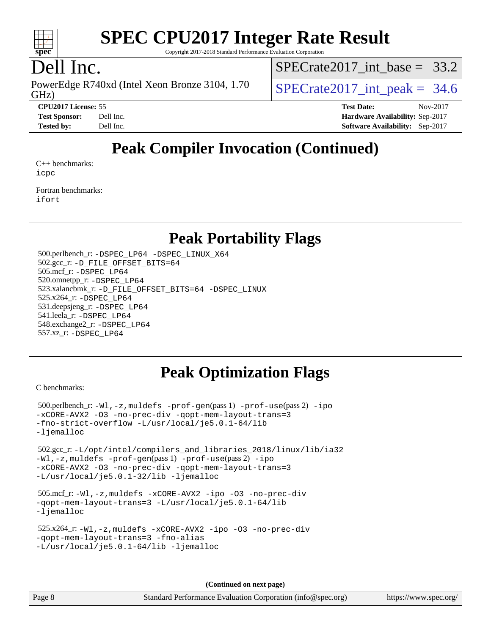

Copyright 2017-2018 Standard Performance Evaluation Corporation

### Dell Inc.

GHz) PowerEdge R740xd (Intel Xeon Bronze 3104, 1.70  $\big|$  SPECrate 2017 int peak = 34.6

SPECrate2017 int\_base =  $33.2$ 

**[CPU2017 License:](http://www.spec.org/auto/cpu2017/Docs/result-fields.html#CPU2017License)** 55 **[Test Date:](http://www.spec.org/auto/cpu2017/Docs/result-fields.html#TestDate)** Nov-2017

**[Test Sponsor:](http://www.spec.org/auto/cpu2017/Docs/result-fields.html#TestSponsor)** Dell Inc. **[Hardware Availability:](http://www.spec.org/auto/cpu2017/Docs/result-fields.html#HardwareAvailability)** Sep-2017 **[Tested by:](http://www.spec.org/auto/cpu2017/Docs/result-fields.html#Testedby)** Dell Inc. **[Software Availability:](http://www.spec.org/auto/cpu2017/Docs/result-fields.html#SoftwareAvailability)** Sep-2017

## **[Peak Compiler Invocation \(Continued\)](http://www.spec.org/auto/cpu2017/Docs/result-fields.html#PeakCompilerInvocation)**

[C++ benchmarks:](http://www.spec.org/auto/cpu2017/Docs/result-fields.html#CXXbenchmarks) [icpc](http://www.spec.org/cpu2017/results/res2017q4/cpu2017-20171208-01401.flags.html#user_CXXpeak_intel_icpc_18.0_c510b6838c7f56d33e37e94d029a35b4a7bccf4766a728ee175e80a419847e808290a9b78be685c44ab727ea267ec2f070ec5dc83b407c0218cded6866a35d07)

[Fortran benchmarks](http://www.spec.org/auto/cpu2017/Docs/result-fields.html#Fortranbenchmarks): [ifort](http://www.spec.org/cpu2017/results/res2017q4/cpu2017-20171208-01401.flags.html#user_FCpeak_intel_ifort_18.0_8111460550e3ca792625aed983ce982f94888b8b503583aa7ba2b8303487b4d8a21a13e7191a45c5fd58ff318f48f9492884d4413fa793fd88dd292cad7027ca)

### **[Peak Portability Flags](http://www.spec.org/auto/cpu2017/Docs/result-fields.html#PeakPortabilityFlags)**

 500.perlbench\_r: [-DSPEC\\_LP64](http://www.spec.org/cpu2017/results/res2017q4/cpu2017-20171208-01401.flags.html#b500.perlbench_r_peakPORTABILITY_DSPEC_LP64) [-DSPEC\\_LINUX\\_X64](http://www.spec.org/cpu2017/results/res2017q4/cpu2017-20171208-01401.flags.html#b500.perlbench_r_peakCPORTABILITY_DSPEC_LINUX_X64) 502.gcc\_r: [-D\\_FILE\\_OFFSET\\_BITS=64](http://www.spec.org/cpu2017/results/res2017q4/cpu2017-20171208-01401.flags.html#user_peakPORTABILITY502_gcc_r_file_offset_bits_64_5ae949a99b284ddf4e95728d47cb0843d81b2eb0e18bdfe74bbf0f61d0b064f4bda2f10ea5eb90e1dcab0e84dbc592acfc5018bc955c18609f94ddb8d550002c) 505.mcf\_r: [-DSPEC\\_LP64](http://www.spec.org/cpu2017/results/res2017q4/cpu2017-20171208-01401.flags.html#suite_peakPORTABILITY505_mcf_r_DSPEC_LP64) 520.omnetpp\_r: [-DSPEC\\_LP64](http://www.spec.org/cpu2017/results/res2017q4/cpu2017-20171208-01401.flags.html#suite_peakPORTABILITY520_omnetpp_r_DSPEC_LP64) 523.xalancbmk\_r: [-D\\_FILE\\_OFFSET\\_BITS=64](http://www.spec.org/cpu2017/results/res2017q4/cpu2017-20171208-01401.flags.html#user_peakPORTABILITY523_xalancbmk_r_file_offset_bits_64_5ae949a99b284ddf4e95728d47cb0843d81b2eb0e18bdfe74bbf0f61d0b064f4bda2f10ea5eb90e1dcab0e84dbc592acfc5018bc955c18609f94ddb8d550002c) [-DSPEC\\_LINUX](http://www.spec.org/cpu2017/results/res2017q4/cpu2017-20171208-01401.flags.html#b523.xalancbmk_r_peakCXXPORTABILITY_DSPEC_LINUX) 525.x264\_r: [-DSPEC\\_LP64](http://www.spec.org/cpu2017/results/res2017q4/cpu2017-20171208-01401.flags.html#suite_peakPORTABILITY525_x264_r_DSPEC_LP64) 531.deepsjeng\_r: [-DSPEC\\_LP64](http://www.spec.org/cpu2017/results/res2017q4/cpu2017-20171208-01401.flags.html#suite_peakPORTABILITY531_deepsjeng_r_DSPEC_LP64) 541.leela\_r: [-DSPEC\\_LP64](http://www.spec.org/cpu2017/results/res2017q4/cpu2017-20171208-01401.flags.html#suite_peakPORTABILITY541_leela_r_DSPEC_LP64) 548.exchange2\_r: [-DSPEC\\_LP64](http://www.spec.org/cpu2017/results/res2017q4/cpu2017-20171208-01401.flags.html#suite_peakPORTABILITY548_exchange2_r_DSPEC_LP64) 557.xz\_r: [-DSPEC\\_LP64](http://www.spec.org/cpu2017/results/res2017q4/cpu2017-20171208-01401.flags.html#suite_peakPORTABILITY557_xz_r_DSPEC_LP64)

### **[Peak Optimization Flags](http://www.spec.org/auto/cpu2017/Docs/result-fields.html#PeakOptimizationFlags)**

[C benchmarks](http://www.spec.org/auto/cpu2017/Docs/result-fields.html#Cbenchmarks):

 500.perlbench\_r: [-Wl,-z,muldefs](http://www.spec.org/cpu2017/results/res2017q4/cpu2017-20171208-01401.flags.html#user_peakEXTRA_LDFLAGS500_perlbench_r_link_force_multiple1_b4cbdb97b34bdee9ceefcfe54f4c8ea74255f0b02a4b23e853cdb0e18eb4525ac79b5a88067c842dd0ee6996c24547a27a4b99331201badda8798ef8a743f577) [-prof-gen](http://www.spec.org/cpu2017/results/res2017q4/cpu2017-20171208-01401.flags.html#user_peakPASS1_CFLAGSPASS1_LDFLAGS500_perlbench_r_prof_gen_5aa4926d6013ddb2a31985c654b3eb18169fc0c6952a63635c234f711e6e63dd76e94ad52365559451ec499a2cdb89e4dc58ba4c67ef54ca681ffbe1461d6b36)(pass 1) [-prof-use](http://www.spec.org/cpu2017/results/res2017q4/cpu2017-20171208-01401.flags.html#user_peakPASS2_CFLAGSPASS2_LDFLAGS500_perlbench_r_prof_use_1a21ceae95f36a2b53c25747139a6c16ca95bd9def2a207b4f0849963b97e94f5260e30a0c64f4bb623698870e679ca08317ef8150905d41bd88c6f78df73f19)(pass 2) [-ipo](http://www.spec.org/cpu2017/results/res2017q4/cpu2017-20171208-01401.flags.html#user_peakPASS1_COPTIMIZEPASS2_COPTIMIZE500_perlbench_r_f-ipo) [-xCORE-AVX2](http://www.spec.org/cpu2017/results/res2017q4/cpu2017-20171208-01401.flags.html#user_peakPASS2_COPTIMIZE500_perlbench_r_f-xCORE-AVX2) [-O3](http://www.spec.org/cpu2017/results/res2017q4/cpu2017-20171208-01401.flags.html#user_peakPASS1_COPTIMIZEPASS2_COPTIMIZE500_perlbench_r_f-O3) [-no-prec-div](http://www.spec.org/cpu2017/results/res2017q4/cpu2017-20171208-01401.flags.html#user_peakPASS1_COPTIMIZEPASS2_COPTIMIZE500_perlbench_r_f-no-prec-div) [-qopt-mem-layout-trans=3](http://www.spec.org/cpu2017/results/res2017q4/cpu2017-20171208-01401.flags.html#user_peakPASS1_COPTIMIZEPASS2_COPTIMIZE500_perlbench_r_f-qopt-mem-layout-trans_de80db37974c74b1f0e20d883f0b675c88c3b01e9d123adea9b28688d64333345fb62bc4a798493513fdb68f60282f9a726aa07f478b2f7113531aecce732043) [-fno-strict-overflow](http://www.spec.org/cpu2017/results/res2017q4/cpu2017-20171208-01401.flags.html#user_peakEXTRA_OPTIMIZE500_perlbench_r_f-fno-strict-overflow) [-L/usr/local/je5.0.1-64/lib](http://www.spec.org/cpu2017/results/res2017q4/cpu2017-20171208-01401.flags.html#user_peakEXTRA_LIBS500_perlbench_r_jemalloc_link_path64_4b10a636b7bce113509b17f3bd0d6226c5fb2346b9178c2d0232c14f04ab830f976640479e5c33dc2bcbbdad86ecfb6634cbbd4418746f06f368b512fced5394) [-ljemalloc](http://www.spec.org/cpu2017/results/res2017q4/cpu2017-20171208-01401.flags.html#user_peakEXTRA_LIBS500_perlbench_r_jemalloc_link_lib_d1249b907c500fa1c0672f44f562e3d0f79738ae9e3c4a9c376d49f265a04b9c99b167ecedbf6711b3085be911c67ff61f150a17b3472be731631ba4d0471706) 502.gcc\_r: [-L/opt/intel/compilers\\_and\\_libraries\\_2018/linux/lib/ia32](http://www.spec.org/cpu2017/results/res2017q4/cpu2017-20171208-01401.flags.html#user_peakCCLD502_gcc_r_Enable-32bit-runtime_af243bdb1d79e4c7a4f720bf8275e627de2ecd461de63307bc14cef0633fde3cd7bb2facb32dcc8be9566045fb55d40ce2b72b725f73827aa7833441b71b9343) [-Wl,-z,muldefs](http://www.spec.org/cpu2017/results/res2017q4/cpu2017-20171208-01401.flags.html#user_peakEXTRA_LDFLAGS502_gcc_r_link_force_multiple1_b4cbdb97b34bdee9ceefcfe54f4c8ea74255f0b02a4b23e853cdb0e18eb4525ac79b5a88067c842dd0ee6996c24547a27a4b99331201badda8798ef8a743f577) [-prof-gen](http://www.spec.org/cpu2017/results/res2017q4/cpu2017-20171208-01401.flags.html#user_peakPASS1_CFLAGSPASS1_LDFLAGS502_gcc_r_prof_gen_5aa4926d6013ddb2a31985c654b3eb18169fc0c6952a63635c234f711e6e63dd76e94ad52365559451ec499a2cdb89e4dc58ba4c67ef54ca681ffbe1461d6b36)(pass 1) [-prof-use](http://www.spec.org/cpu2017/results/res2017q4/cpu2017-20171208-01401.flags.html#user_peakPASS2_CFLAGSPASS2_LDFLAGS502_gcc_r_prof_use_1a21ceae95f36a2b53c25747139a6c16ca95bd9def2a207b4f0849963b97e94f5260e30a0c64f4bb623698870e679ca08317ef8150905d41bd88c6f78df73f19)(pass 2) [-ipo](http://www.spec.org/cpu2017/results/res2017q4/cpu2017-20171208-01401.flags.html#user_peakPASS1_COPTIMIZEPASS2_COPTIMIZE502_gcc_r_f-ipo) [-xCORE-AVX2](http://www.spec.org/cpu2017/results/res2017q4/cpu2017-20171208-01401.flags.html#user_peakPASS2_COPTIMIZE502_gcc_r_f-xCORE-AVX2) [-O3](http://www.spec.org/cpu2017/results/res2017q4/cpu2017-20171208-01401.flags.html#user_peakPASS1_COPTIMIZEPASS2_COPTIMIZE502_gcc_r_f-O3) [-no-prec-div](http://www.spec.org/cpu2017/results/res2017q4/cpu2017-20171208-01401.flags.html#user_peakPASS1_COPTIMIZEPASS2_COPTIMIZE502_gcc_r_f-no-prec-div) [-qopt-mem-layout-trans=3](http://www.spec.org/cpu2017/results/res2017q4/cpu2017-20171208-01401.flags.html#user_peakPASS1_COPTIMIZEPASS2_COPTIMIZE502_gcc_r_f-qopt-mem-layout-trans_de80db37974c74b1f0e20d883f0b675c88c3b01e9d123adea9b28688d64333345fb62bc4a798493513fdb68f60282f9a726aa07f478b2f7113531aecce732043) [-L/usr/local/je5.0.1-32/lib](http://www.spec.org/cpu2017/results/res2017q4/cpu2017-20171208-01401.flags.html#user_peakEXTRA_LIBS502_gcc_r_jemalloc_link_path32_e29f22e8e6c17053bbc6a0971f5a9c01a601a06bb1a59df2084b77a2fe0a2995b64fd4256feaeea39eeba3aae142e96e2b2b0a28974019c0c0c88139a84f900a) [-ljemalloc](http://www.spec.org/cpu2017/results/res2017q4/cpu2017-20171208-01401.flags.html#user_peakEXTRA_LIBS502_gcc_r_jemalloc_link_lib_d1249b907c500fa1c0672f44f562e3d0f79738ae9e3c4a9c376d49f265a04b9c99b167ecedbf6711b3085be911c67ff61f150a17b3472be731631ba4d0471706) 505.mcf\_r: [-Wl,-z,muldefs](http://www.spec.org/cpu2017/results/res2017q4/cpu2017-20171208-01401.flags.html#user_peakEXTRA_LDFLAGS505_mcf_r_link_force_multiple1_b4cbdb97b34bdee9ceefcfe54f4c8ea74255f0b02a4b23e853cdb0e18eb4525ac79b5a88067c842dd0ee6996c24547a27a4b99331201badda8798ef8a743f577) [-xCORE-AVX2](http://www.spec.org/cpu2017/results/res2017q4/cpu2017-20171208-01401.flags.html#user_peakCOPTIMIZE505_mcf_r_f-xCORE-AVX2) [-ipo](http://www.spec.org/cpu2017/results/res2017q4/cpu2017-20171208-01401.flags.html#user_peakCOPTIMIZE505_mcf_r_f-ipo) [-O3](http://www.spec.org/cpu2017/results/res2017q4/cpu2017-20171208-01401.flags.html#user_peakCOPTIMIZE505_mcf_r_f-O3) [-no-prec-div](http://www.spec.org/cpu2017/results/res2017q4/cpu2017-20171208-01401.flags.html#user_peakCOPTIMIZE505_mcf_r_f-no-prec-div) [-qopt-mem-layout-trans=3](http://www.spec.org/cpu2017/results/res2017q4/cpu2017-20171208-01401.flags.html#user_peakCOPTIMIZE505_mcf_r_f-qopt-mem-layout-trans_de80db37974c74b1f0e20d883f0b675c88c3b01e9d123adea9b28688d64333345fb62bc4a798493513fdb68f60282f9a726aa07f478b2f7113531aecce732043) [-L/usr/local/je5.0.1-64/lib](http://www.spec.org/cpu2017/results/res2017q4/cpu2017-20171208-01401.flags.html#user_peakEXTRA_LIBS505_mcf_r_jemalloc_link_path64_4b10a636b7bce113509b17f3bd0d6226c5fb2346b9178c2d0232c14f04ab830f976640479e5c33dc2bcbbdad86ecfb6634cbbd4418746f06f368b512fced5394) [-ljemalloc](http://www.spec.org/cpu2017/results/res2017q4/cpu2017-20171208-01401.flags.html#user_peakEXTRA_LIBS505_mcf_r_jemalloc_link_lib_d1249b907c500fa1c0672f44f562e3d0f79738ae9e3c4a9c376d49f265a04b9c99b167ecedbf6711b3085be911c67ff61f150a17b3472be731631ba4d0471706) 525.x264\_r: [-Wl,-z,muldefs](http://www.spec.org/cpu2017/results/res2017q4/cpu2017-20171208-01401.flags.html#user_peakEXTRA_LDFLAGS525_x264_r_link_force_multiple1_b4cbdb97b34bdee9ceefcfe54f4c8ea74255f0b02a4b23e853cdb0e18eb4525ac79b5a88067c842dd0ee6996c24547a27a4b99331201badda8798ef8a743f577) [-xCORE-AVX2](http://www.spec.org/cpu2017/results/res2017q4/cpu2017-20171208-01401.flags.html#user_peakCOPTIMIZE525_x264_r_f-xCORE-AVX2) [-ipo](http://www.spec.org/cpu2017/results/res2017q4/cpu2017-20171208-01401.flags.html#user_peakCOPTIMIZE525_x264_r_f-ipo) [-O3](http://www.spec.org/cpu2017/results/res2017q4/cpu2017-20171208-01401.flags.html#user_peakCOPTIMIZE525_x264_r_f-O3) [-no-prec-div](http://www.spec.org/cpu2017/results/res2017q4/cpu2017-20171208-01401.flags.html#user_peakCOPTIMIZE525_x264_r_f-no-prec-div) [-qopt-mem-layout-trans=3](http://www.spec.org/cpu2017/results/res2017q4/cpu2017-20171208-01401.flags.html#user_peakCOPTIMIZE525_x264_r_f-qopt-mem-layout-trans_de80db37974c74b1f0e20d883f0b675c88c3b01e9d123adea9b28688d64333345fb62bc4a798493513fdb68f60282f9a726aa07f478b2f7113531aecce732043) [-fno-alias](http://www.spec.org/cpu2017/results/res2017q4/cpu2017-20171208-01401.flags.html#user_peakEXTRA_OPTIMIZE525_x264_r_f-no-alias_77dbac10d91cbfe898fbf4a29d1b29b694089caa623bdd1baccc9957d4edbe8d106c0b357e2748a65b44fc9e83d78098bb898077f3fe92f9faf24f7bd4a07ed7) [-L/usr/local/je5.0.1-64/lib](http://www.spec.org/cpu2017/results/res2017q4/cpu2017-20171208-01401.flags.html#user_peakEXTRA_LIBS525_x264_r_jemalloc_link_path64_4b10a636b7bce113509b17f3bd0d6226c5fb2346b9178c2d0232c14f04ab830f976640479e5c33dc2bcbbdad86ecfb6634cbbd4418746f06f368b512fced5394) [-ljemalloc](http://www.spec.org/cpu2017/results/res2017q4/cpu2017-20171208-01401.flags.html#user_peakEXTRA_LIBS525_x264_r_jemalloc_link_lib_d1249b907c500fa1c0672f44f562e3d0f79738ae9e3c4a9c376d49f265a04b9c99b167ecedbf6711b3085be911c67ff61f150a17b3472be731631ba4d0471706)

**(Continued on next page)**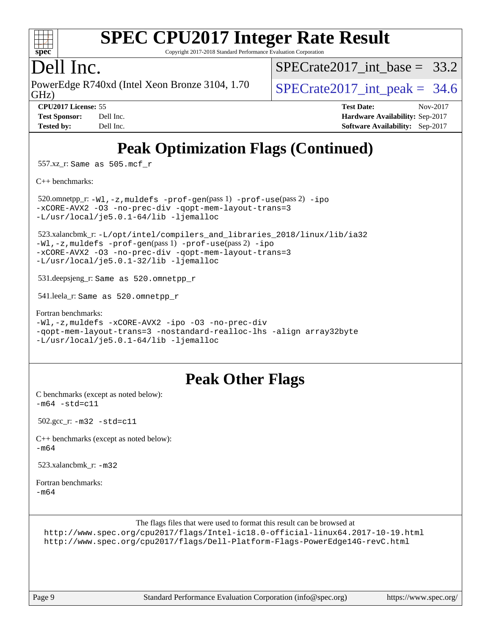

Copyright 2017-2018 Standard Performance Evaluation Corporation

### Dell Inc.

GHz) PowerEdge R740xd (Intel Xeon Bronze 3104, 1.70  $\big|$  SPECrate 2017 int peak = 34.6

SPECrate2017 int\_base =  $33.2$ 

**[CPU2017 License:](http://www.spec.org/auto/cpu2017/Docs/result-fields.html#CPU2017License)** 55 **[Test Date:](http://www.spec.org/auto/cpu2017/Docs/result-fields.html#TestDate)** Nov-2017 **[Test Sponsor:](http://www.spec.org/auto/cpu2017/Docs/result-fields.html#TestSponsor)** Dell Inc. **[Hardware Availability:](http://www.spec.org/auto/cpu2017/Docs/result-fields.html#HardwareAvailability)** Sep-2017 **[Tested by:](http://www.spec.org/auto/cpu2017/Docs/result-fields.html#Testedby)** Dell Inc. **[Software Availability:](http://www.spec.org/auto/cpu2017/Docs/result-fields.html#SoftwareAvailability)** Sep-2017

# **[Peak Optimization Flags \(Continued\)](http://www.spec.org/auto/cpu2017/Docs/result-fields.html#PeakOptimizationFlags)**

557.xz\_r: Same as 505.mcf\_r

[C++ benchmarks:](http://www.spec.org/auto/cpu2017/Docs/result-fields.html#CXXbenchmarks)

 520.omnetpp\_r: [-Wl,-z,muldefs](http://www.spec.org/cpu2017/results/res2017q4/cpu2017-20171208-01401.flags.html#user_peakEXTRA_LDFLAGS520_omnetpp_r_link_force_multiple1_b4cbdb97b34bdee9ceefcfe54f4c8ea74255f0b02a4b23e853cdb0e18eb4525ac79b5a88067c842dd0ee6996c24547a27a4b99331201badda8798ef8a743f577) [-prof-gen](http://www.spec.org/cpu2017/results/res2017q4/cpu2017-20171208-01401.flags.html#user_peakPASS1_CXXFLAGSPASS1_LDFLAGS520_omnetpp_r_prof_gen_5aa4926d6013ddb2a31985c654b3eb18169fc0c6952a63635c234f711e6e63dd76e94ad52365559451ec499a2cdb89e4dc58ba4c67ef54ca681ffbe1461d6b36)(pass 1) [-prof-use](http://www.spec.org/cpu2017/results/res2017q4/cpu2017-20171208-01401.flags.html#user_peakPASS2_CXXFLAGSPASS2_LDFLAGS520_omnetpp_r_prof_use_1a21ceae95f36a2b53c25747139a6c16ca95bd9def2a207b4f0849963b97e94f5260e30a0c64f4bb623698870e679ca08317ef8150905d41bd88c6f78df73f19)(pass 2) [-ipo](http://www.spec.org/cpu2017/results/res2017q4/cpu2017-20171208-01401.flags.html#user_peakPASS1_CXXOPTIMIZEPASS2_CXXOPTIMIZE520_omnetpp_r_f-ipo) [-xCORE-AVX2](http://www.spec.org/cpu2017/results/res2017q4/cpu2017-20171208-01401.flags.html#user_peakPASS2_CXXOPTIMIZE520_omnetpp_r_f-xCORE-AVX2) [-O3](http://www.spec.org/cpu2017/results/res2017q4/cpu2017-20171208-01401.flags.html#user_peakPASS1_CXXOPTIMIZEPASS2_CXXOPTIMIZE520_omnetpp_r_f-O3) [-no-prec-div](http://www.spec.org/cpu2017/results/res2017q4/cpu2017-20171208-01401.flags.html#user_peakPASS1_CXXOPTIMIZEPASS2_CXXOPTIMIZE520_omnetpp_r_f-no-prec-div) [-qopt-mem-layout-trans=3](http://www.spec.org/cpu2017/results/res2017q4/cpu2017-20171208-01401.flags.html#user_peakPASS1_CXXOPTIMIZEPASS2_CXXOPTIMIZE520_omnetpp_r_f-qopt-mem-layout-trans_de80db37974c74b1f0e20d883f0b675c88c3b01e9d123adea9b28688d64333345fb62bc4a798493513fdb68f60282f9a726aa07f478b2f7113531aecce732043) [-L/usr/local/je5.0.1-64/lib](http://www.spec.org/cpu2017/results/res2017q4/cpu2017-20171208-01401.flags.html#user_peakEXTRA_LIBS520_omnetpp_r_jemalloc_link_path64_4b10a636b7bce113509b17f3bd0d6226c5fb2346b9178c2d0232c14f04ab830f976640479e5c33dc2bcbbdad86ecfb6634cbbd4418746f06f368b512fced5394) [-ljemalloc](http://www.spec.org/cpu2017/results/res2017q4/cpu2017-20171208-01401.flags.html#user_peakEXTRA_LIBS520_omnetpp_r_jemalloc_link_lib_d1249b907c500fa1c0672f44f562e3d0f79738ae9e3c4a9c376d49f265a04b9c99b167ecedbf6711b3085be911c67ff61f150a17b3472be731631ba4d0471706)

 523.xalancbmk\_r: [-L/opt/intel/compilers\\_and\\_libraries\\_2018/linux/lib/ia32](http://www.spec.org/cpu2017/results/res2017q4/cpu2017-20171208-01401.flags.html#user_peakCXXLD523_xalancbmk_r_Enable-32bit-runtime_af243bdb1d79e4c7a4f720bf8275e627de2ecd461de63307bc14cef0633fde3cd7bb2facb32dcc8be9566045fb55d40ce2b72b725f73827aa7833441b71b9343) [-Wl,-z,muldefs](http://www.spec.org/cpu2017/results/res2017q4/cpu2017-20171208-01401.flags.html#user_peakEXTRA_LDFLAGS523_xalancbmk_r_link_force_multiple1_b4cbdb97b34bdee9ceefcfe54f4c8ea74255f0b02a4b23e853cdb0e18eb4525ac79b5a88067c842dd0ee6996c24547a27a4b99331201badda8798ef8a743f577) [-prof-gen](http://www.spec.org/cpu2017/results/res2017q4/cpu2017-20171208-01401.flags.html#user_peakPASS1_CXXFLAGSPASS1_LDFLAGS523_xalancbmk_r_prof_gen_5aa4926d6013ddb2a31985c654b3eb18169fc0c6952a63635c234f711e6e63dd76e94ad52365559451ec499a2cdb89e4dc58ba4c67ef54ca681ffbe1461d6b36)(pass 1) [-prof-use](http://www.spec.org/cpu2017/results/res2017q4/cpu2017-20171208-01401.flags.html#user_peakPASS2_CXXFLAGSPASS2_LDFLAGS523_xalancbmk_r_prof_use_1a21ceae95f36a2b53c25747139a6c16ca95bd9def2a207b4f0849963b97e94f5260e30a0c64f4bb623698870e679ca08317ef8150905d41bd88c6f78df73f19)(pass 2) [-ipo](http://www.spec.org/cpu2017/results/res2017q4/cpu2017-20171208-01401.flags.html#user_peakPASS1_CXXOPTIMIZEPASS2_CXXOPTIMIZE523_xalancbmk_r_f-ipo) [-xCORE-AVX2](http://www.spec.org/cpu2017/results/res2017q4/cpu2017-20171208-01401.flags.html#user_peakPASS2_CXXOPTIMIZE523_xalancbmk_r_f-xCORE-AVX2) [-O3](http://www.spec.org/cpu2017/results/res2017q4/cpu2017-20171208-01401.flags.html#user_peakPASS1_CXXOPTIMIZEPASS2_CXXOPTIMIZE523_xalancbmk_r_f-O3) [-no-prec-div](http://www.spec.org/cpu2017/results/res2017q4/cpu2017-20171208-01401.flags.html#user_peakPASS1_CXXOPTIMIZEPASS2_CXXOPTIMIZE523_xalancbmk_r_f-no-prec-div) [-qopt-mem-layout-trans=3](http://www.spec.org/cpu2017/results/res2017q4/cpu2017-20171208-01401.flags.html#user_peakPASS1_CXXOPTIMIZEPASS2_CXXOPTIMIZE523_xalancbmk_r_f-qopt-mem-layout-trans_de80db37974c74b1f0e20d883f0b675c88c3b01e9d123adea9b28688d64333345fb62bc4a798493513fdb68f60282f9a726aa07f478b2f7113531aecce732043) [-L/usr/local/je5.0.1-32/lib](http://www.spec.org/cpu2017/results/res2017q4/cpu2017-20171208-01401.flags.html#user_peakEXTRA_LIBS523_xalancbmk_r_jemalloc_link_path32_e29f22e8e6c17053bbc6a0971f5a9c01a601a06bb1a59df2084b77a2fe0a2995b64fd4256feaeea39eeba3aae142e96e2b2b0a28974019c0c0c88139a84f900a) [-ljemalloc](http://www.spec.org/cpu2017/results/res2017q4/cpu2017-20171208-01401.flags.html#user_peakEXTRA_LIBS523_xalancbmk_r_jemalloc_link_lib_d1249b907c500fa1c0672f44f562e3d0f79738ae9e3c4a9c376d49f265a04b9c99b167ecedbf6711b3085be911c67ff61f150a17b3472be731631ba4d0471706)

531.deepsjeng\_r: Same as 520.omnetpp\_r

541.leela\_r: Same as 520.omnetpp\_r

[Fortran benchmarks](http://www.spec.org/auto/cpu2017/Docs/result-fields.html#Fortranbenchmarks): [-Wl,-z,muldefs](http://www.spec.org/cpu2017/results/res2017q4/cpu2017-20171208-01401.flags.html#user_FCpeak_link_force_multiple1_b4cbdb97b34bdee9ceefcfe54f4c8ea74255f0b02a4b23e853cdb0e18eb4525ac79b5a88067c842dd0ee6996c24547a27a4b99331201badda8798ef8a743f577) [-xCORE-AVX2](http://www.spec.org/cpu2017/results/res2017q4/cpu2017-20171208-01401.flags.html#user_FCpeak_f-xCORE-AVX2) [-ipo](http://www.spec.org/cpu2017/results/res2017q4/cpu2017-20171208-01401.flags.html#user_FCpeak_f-ipo) [-O3](http://www.spec.org/cpu2017/results/res2017q4/cpu2017-20171208-01401.flags.html#user_FCpeak_f-O3) [-no-prec-div](http://www.spec.org/cpu2017/results/res2017q4/cpu2017-20171208-01401.flags.html#user_FCpeak_f-no-prec-div) [-qopt-mem-layout-trans=3](http://www.spec.org/cpu2017/results/res2017q4/cpu2017-20171208-01401.flags.html#user_FCpeak_f-qopt-mem-layout-trans_de80db37974c74b1f0e20d883f0b675c88c3b01e9d123adea9b28688d64333345fb62bc4a798493513fdb68f60282f9a726aa07f478b2f7113531aecce732043) [-nostandard-realloc-lhs](http://www.spec.org/cpu2017/results/res2017q4/cpu2017-20171208-01401.flags.html#user_FCpeak_f_2003_std_realloc_82b4557e90729c0f113870c07e44d33d6f5a304b4f63d4c15d2d0f1fab99f5daaed73bdb9275d9ae411527f28b936061aa8b9c8f2d63842963b95c9dd6426b8a) [-align array32byte](http://www.spec.org/cpu2017/results/res2017q4/cpu2017-20171208-01401.flags.html#user_FCpeak_align_array32byte_b982fe038af199962ba9a80c053b8342c548c85b40b8e86eb3cc33dee0d7986a4af373ac2d51c3f7cf710a18d62fdce2948f201cd044323541f22fc0fffc51b6) [-L/usr/local/je5.0.1-64/lib](http://www.spec.org/cpu2017/results/res2017q4/cpu2017-20171208-01401.flags.html#user_FCpeak_jemalloc_link_path64_4b10a636b7bce113509b17f3bd0d6226c5fb2346b9178c2d0232c14f04ab830f976640479e5c33dc2bcbbdad86ecfb6634cbbd4418746f06f368b512fced5394) [-ljemalloc](http://www.spec.org/cpu2017/results/res2017q4/cpu2017-20171208-01401.flags.html#user_FCpeak_jemalloc_link_lib_d1249b907c500fa1c0672f44f562e3d0f79738ae9e3c4a9c376d49f265a04b9c99b167ecedbf6711b3085be911c67ff61f150a17b3472be731631ba4d0471706)

### **[Peak Other Flags](http://www.spec.org/auto/cpu2017/Docs/result-fields.html#PeakOtherFlags)**

[C benchmarks \(except as noted below\)](http://www.spec.org/auto/cpu2017/Docs/result-fields.html#Cbenchmarksexceptasnotedbelow):  $-m64 - std = c11$  $-m64 - std = c11$ 

502.gcc\_r: [-m32](http://www.spec.org/cpu2017/results/res2017q4/cpu2017-20171208-01401.flags.html#user_peakCCLD502_gcc_r_intel_ia32_18.0_2666f1173eb60787016b673bfe1358e27016ef7649ea4884b7bc6187fd89dc221d14632e22638cde1c647a518de97358ab15d4ad098ee4e19a8b28d0c25e14bf) [-std=c11](http://www.spec.org/cpu2017/results/res2017q4/cpu2017-20171208-01401.flags.html#user_peakCCLD502_gcc_r_intel_compiler_c11_mode_0e1c27790398a4642dfca32ffe6c27b5796f9c2d2676156f2e42c9c44eaad0c049b1cdb667a270c34d979996257aeb8fc440bfb01818dbc9357bd9d174cb8524)

[C++ benchmarks \(except as noted below\):](http://www.spec.org/auto/cpu2017/Docs/result-fields.html#CXXbenchmarksexceptasnotedbelow) [-m64](http://www.spec.org/cpu2017/results/res2017q4/cpu2017-20171208-01401.flags.html#user_CXXpeak_intel_intel64_18.0_af43caccfc8ded86e7699f2159af6efc7655f51387b94da716254467f3c01020a5059329e2569e4053f409e7c9202a7efc638f7a6d1ffb3f52dea4a3e31d82ab)

523.xalancbmk $r: -m32$  $r: -m32$ 

[Fortran benchmarks](http://www.spec.org/auto/cpu2017/Docs/result-fields.html#Fortranbenchmarks): [-m64](http://www.spec.org/cpu2017/results/res2017q4/cpu2017-20171208-01401.flags.html#user_FCpeak_intel_intel64_18.0_af43caccfc8ded86e7699f2159af6efc7655f51387b94da716254467f3c01020a5059329e2569e4053f409e7c9202a7efc638f7a6d1ffb3f52dea4a3e31d82ab)

The flags files that were used to format this result can be browsed at

```
http://www.spec.org/cpu2017/flags/Intel-ic18.0-official-linux64.2017-10-19.html
http://www.spec.org/cpu2017/flags/Dell-Platform-Flags-PowerEdge14G-revC.html
```